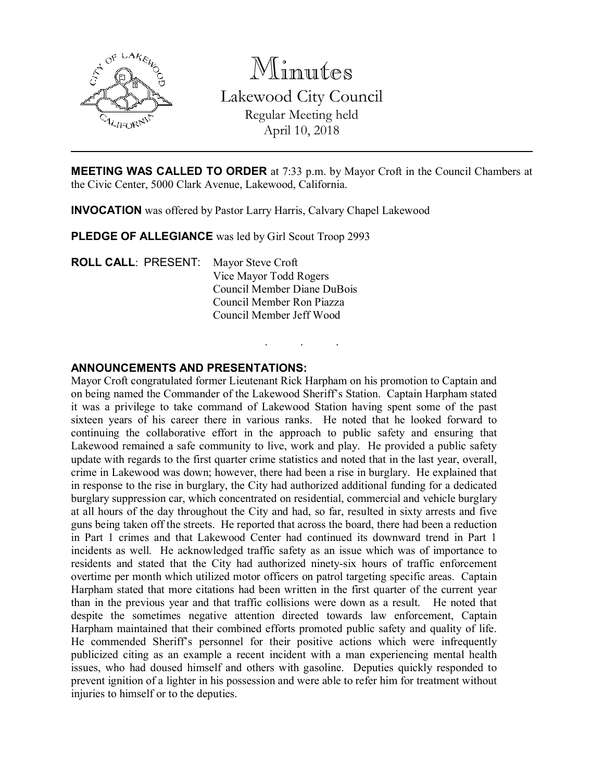

Minutes Lakewood City Council Regular Meeting held April 10, 2018

MEETING WAS CALLED TO ORDER at 7:33 p.m. by Mayor Croft in the Council Chambers at the Civic Center, 5000 Clark Avenue, Lakewood, California.

. . .

INVOCATION was offered by Pastor Larry Harris, Calvary Chapel Lakewood

PLEDGE OF ALLEGIANCE was led by Girl Scout Troop 2993

ROLL CALL: PRESENT: Mayor Steve Croft Vice Mayor Todd Rogers Council Member Diane DuBois Council Member Ron Piazza Council Member Jeff Wood

#### ANNOUNCEMENTS AND PRESENTATIONS:

Mayor Croft congratulated former Lieutenant Rick Harpham on his promotion to Captain and on being named the Commander of the Lakewood Sheriff's Station. Captain Harpham stated it was a privilege to take command of Lakewood Station having spent some of the past sixteen years of his career there in various ranks. He noted that he looked forward to continuing the collaborative effort in the approach to public safety and ensuring that Lakewood remained a safe community to live, work and play. He provided a public safety update with regards to the first quarter crime statistics and noted that in the last year, overall, crime in Lakewood was down; however, there had been a rise in burglary. He explained that in response to the rise in burglary, the City had authorized additional funding for a dedicated burglary suppression car, which concentrated on residential, commercial and vehicle burglary at all hours of the day throughout the City and had, so far, resulted in sixty arrests and five guns being taken off the streets. He reported that across the board, there had been a reduction in Part 1 crimes and that Lakewood Center had continued its downward trend in Part 1 incidents as well. He acknowledged traffic safety as an issue which was of importance to residents and stated that the City had authorized ninety-six hours of traffic enforcement overtime per month which utilized motor officers on patrol targeting specific areas. Captain Harpham stated that more citations had been written in the first quarter of the current year than in the previous year and that traffic collisions were down as a result. He noted that despite the sometimes negative attention directed towards law enforcement, Captain Harpham maintained that their combined efforts promoted public safety and quality of life. He commended Sheriff's personnel for their positive actions which were infrequently publicized citing as an example a recent incident with a man experiencing mental health issues, who had doused himself and others with gasoline. Deputies quickly responded to prevent ignition of a lighter in his possession and were able to refer him for treatment without injuries to himself or to the deputies.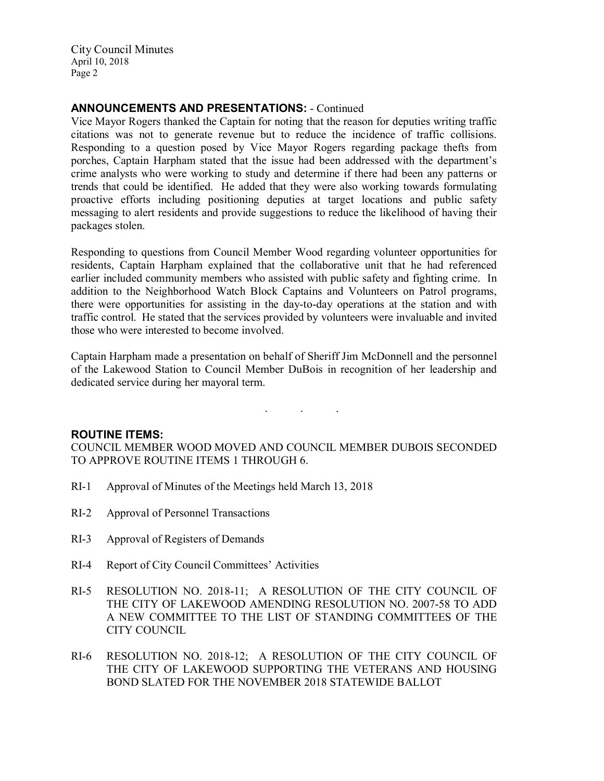City Council Minutes April 10, 2018 Page 2

### ANNOUNCEMENTS AND PRESENTATIONS: - Continued

Vice Mayor Rogers thanked the Captain for noting that the reason for deputies writing traffic citations was not to generate revenue but to reduce the incidence of traffic collisions. Responding to a question posed by Vice Mayor Rogers regarding package thefts from porches, Captain Harpham stated that the issue had been addressed with the department's crime analysts who were working to study and determine if there had been any patterns or trends that could be identified. He added that they were also working towards formulating proactive efforts including positioning deputies at target locations and public safety messaging to alert residents and provide suggestions to reduce the likelihood of having their packages stolen.

Responding to questions from Council Member Wood regarding volunteer opportunities for residents, Captain Harpham explained that the collaborative unit that he had referenced earlier included community members who assisted with public safety and fighting crime. In addition to the Neighborhood Watch Block Captains and Volunteers on Patrol programs, there were opportunities for assisting in the day-to-day operations at the station and with traffic control. He stated that the services provided by volunteers were invaluable and invited those who were interested to become involved.

Captain Harpham made a presentation on behalf of Sheriff Jim McDonnell and the personnel of the Lakewood Station to Council Member DuBois in recognition of her leadership and dedicated service during her mayoral term.

. . .

### ROUTINE ITEMS:

COUNCIL MEMBER WOOD MOVED AND COUNCIL MEMBER DUBOIS SECONDED TO APPROVE ROUTINE ITEMS 1 THROUGH 6.

- RI-1 Approval of Minutes of the Meetings held March 13, 2018
- RI-2 Approval of Personnel Transactions
- RI-3 Approval of Registers of Demands
- RI-4 Report of City Council Committees' Activities
- RI-5 RESOLUTION NO. 2018-11; A RESOLUTION OF THE CITY COUNCIL OF THE CITY OF LAKEWOOD AMENDING RESOLUTION NO. 2007-58 TO ADD A NEW COMMITTEE TO THE LIST OF STANDING COMMITTEES OF THE CITY COUNCIL
- RI-6 RESOLUTION NO. 2018-12; A RESOLUTION OF THE CITY COUNCIL OF THE CITY OF LAKEWOOD SUPPORTING THE VETERANS AND HOUSING BOND SLATED FOR THE NOVEMBER 2018 STATEWIDE BALLOT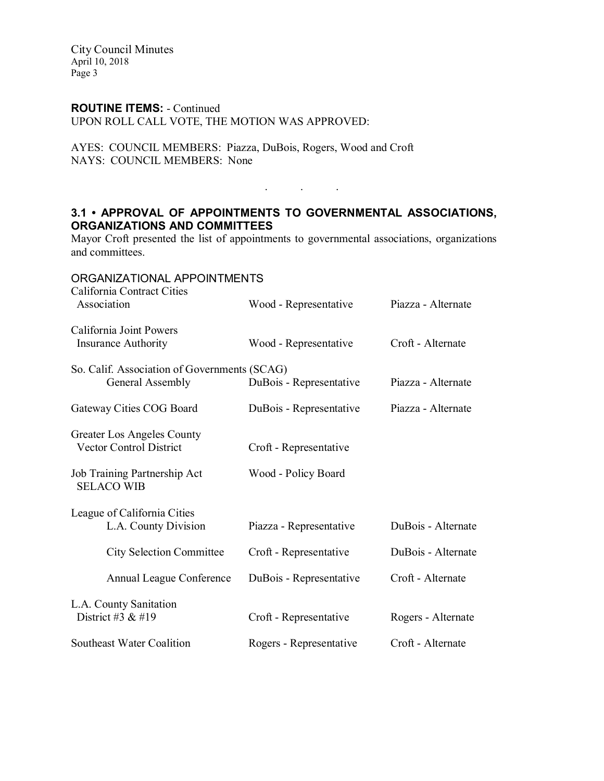City Council Minutes April 10, 2018 Page 3

#### ROUTINE ITEMS: - Continued

UPON ROLL CALL VOTE, THE MOTION WAS APPROVED:

AYES: COUNCIL MEMBERS: Piazza, DuBois, Rogers, Wood and Croft NAYS: COUNCIL MEMBERS: None

# 3.1 • APPROVAL OF APPOINTMENTS TO GOVERNMENTAL ASSOCIATIONS, ORGANIZATIONS AND COMMITTEES

 $\mathcal{L}^{\mathcal{L}}$  . The set of  $\mathcal{L}^{\mathcal{L}}$  , and  $\mathcal{L}^{\mathcal{L}}$ 

Mayor Croft presented the list of appointments to governmental associations, organizations and committees.

| ORGANIZATIONAL APPOINTMENTS<br>California Contract Cities        |                         |                    |
|------------------------------------------------------------------|-------------------------|--------------------|
| Association                                                      | Wood - Representative   | Piazza - Alternate |
| California Joint Powers<br><b>Insurance Authority</b>            | Wood - Representative   | Croft - Alternate  |
| So. Calif. Association of Governments (SCAG)<br>General Assembly | DuBois - Representative | Piazza - Alternate |
| Gateway Cities COG Board                                         | DuBois - Representative | Piazza - Alternate |
| Greater Los Angeles County<br>Vector Control District            | Croft - Representative  |                    |
| Job Training Partnership Act<br><b>SELACO WIB</b>                | Wood - Policy Board     |                    |
| League of California Cities<br>L.A. County Division              | Piazza - Representative | DuBois - Alternate |
| <b>City Selection Committee</b>                                  | Croft - Representative  | DuBois - Alternate |
| Annual League Conference                                         | DuBois - Representative | Croft - Alternate  |
| L.A. County Sanitation<br>District #3 $&$ #19                    | Croft - Representative  | Rogers - Alternate |
| Southeast Water Coalition                                        | Rogers - Representative | Croft - Alternate  |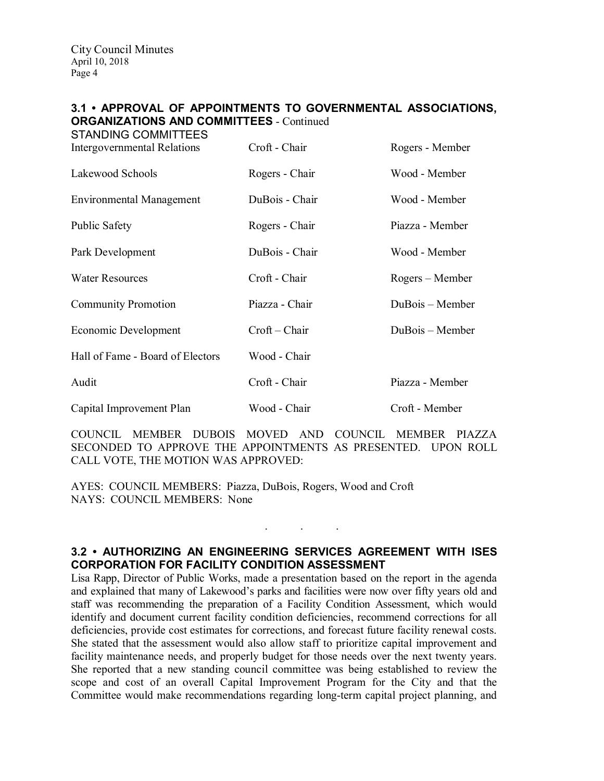# 3.1 • APPROVAL OF APPOINTMENTS TO GOVERNMENTAL ASSOCIATIONS, ORGANIZATIONS AND COMMITTEES - Continued

| <b>STANDING COMMITTEES</b><br><b>Intergovernmental Relations</b> | Croft - Chair   | Rogers - Member |
|------------------------------------------------------------------|-----------------|-----------------|
| Lakewood Schools                                                 | Rogers - Chair  | Wood - Member   |
| <b>Environmental Management</b>                                  | DuBois - Chair  | Wood - Member   |
| <b>Public Safety</b>                                             | Rogers - Chair  | Piazza - Member |
| Park Development                                                 | DuBois - Chair  | Wood - Member   |
| <b>Water Resources</b>                                           | Croft - Chair   | Rogers – Member |
| <b>Community Promotion</b>                                       | Piazza - Chair  | DuBois – Member |
| Economic Development                                             | $Croft - Chair$ | DuBois – Member |
| Hall of Fame - Board of Electors                                 | Wood - Chair    |                 |
| Audit                                                            | Croft - Chair   | Piazza - Member |
| Capital Improvement Plan                                         | Wood - Chair    | Croft - Member  |

COUNCIL MEMBER DUBOIS MOVED AND COUNCIL MEMBER PIAZZA SECONDED TO APPROVE THE APPOINTMENTS AS PRESENTED. UPON ROLL CALL VOTE, THE MOTION WAS APPROVED:

AYES: COUNCIL MEMBERS: Piazza, DuBois, Rogers, Wood and Croft NAYS: COUNCIL MEMBERS: None

### 3.2 • AUTHORIZING AN ENGINEERING SERVICES AGREEMENT WITH ISES CORPORATION FOR FACILITY CONDITION ASSESSMENT

. . .

Lisa Rapp, Director of Public Works, made a presentation based on the report in the agenda and explained that many of Lakewood's parks and facilities were now over fifty years old and staff was recommending the preparation of a Facility Condition Assessment, which would identify and document current facility condition deficiencies, recommend corrections for all deficiencies, provide cost estimates for corrections, and forecast future facility renewal costs. She stated that the assessment would also allow staff to prioritize capital improvement and facility maintenance needs, and properly budget for those needs over the next twenty years. She reported that a new standing council committee was being established to review the scope and cost of an overall Capital Improvement Program for the City and that the Committee would make recommendations regarding long-term capital project planning, and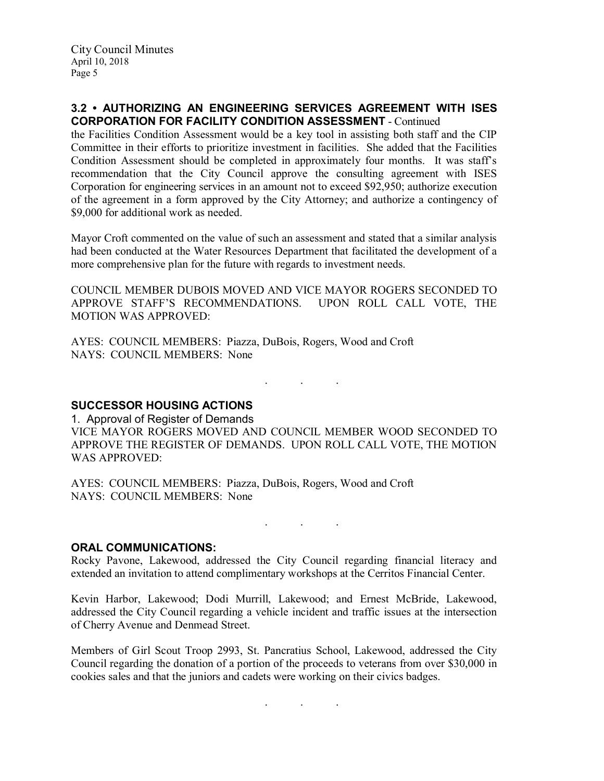### 3.2 • AUTHORIZING AN ENGINEERING SERVICES AGREEMENT WITH ISES CORPORATION FOR FACILITY CONDITION ASSESSMENT - Continued

the Facilities Condition Assessment would be a key tool in assisting both staff and the CIP Committee in their efforts to prioritize investment in facilities. She added that the Facilities Condition Assessment should be completed in approximately four months. It was staff's recommendation that the City Council approve the consulting agreement with ISES Corporation for engineering services in an amount not to exceed \$92,950; authorize execution of the agreement in a form approved by the City Attorney; and authorize a contingency of \$9,000 for additional work as needed.

Mayor Croft commented on the value of such an assessment and stated that a similar analysis had been conducted at the Water Resources Department that facilitated the development of a more comprehensive plan for the future with regards to investment needs.

COUNCIL MEMBER DUBOIS MOVED AND VICE MAYOR ROGERS SECONDED TO APPROVE STAFF'S RECOMMENDATIONS. UPON ROLL CALL VOTE, THE MOTION WAS APPROVED:

AYES: COUNCIL MEMBERS: Piazza, DuBois, Rogers, Wood and Croft NAYS: COUNCIL MEMBERS: None

SUCCESSOR HOUSING ACTIONS

1. Approval of Register of Demands VICE MAYOR ROGERS MOVED AND COUNCIL MEMBER WOOD SECONDED TO APPROVE THE REGISTER OF DEMANDS. UPON ROLL CALL VOTE, THE MOTION WAS APPROVED:

. . .

AYES: COUNCIL MEMBERS: Piazza, DuBois, Rogers, Wood and Croft NAYS: COUNCIL MEMBERS: None

. As we have the set of  $\mathcal{A}$  , and  $\mathcal{A}$ 

#### ORAL COMMUNICATIONS:

Rocky Pavone, Lakewood, addressed the City Council regarding financial literacy and extended an invitation to attend complimentary workshops at the Cerritos Financial Center.

Kevin Harbor, Lakewood; Dodi Murrill, Lakewood; and Ernest McBride, Lakewood, addressed the City Council regarding a vehicle incident and traffic issues at the intersection of Cherry Avenue and Denmead Street.

Members of Girl Scout Troop 2993, St. Pancratius School, Lakewood, addressed the City Council regarding the donation of a portion of the proceeds to veterans from over \$30,000 in cookies sales and that the juniors and cadets were working on their civics badges.

. . .